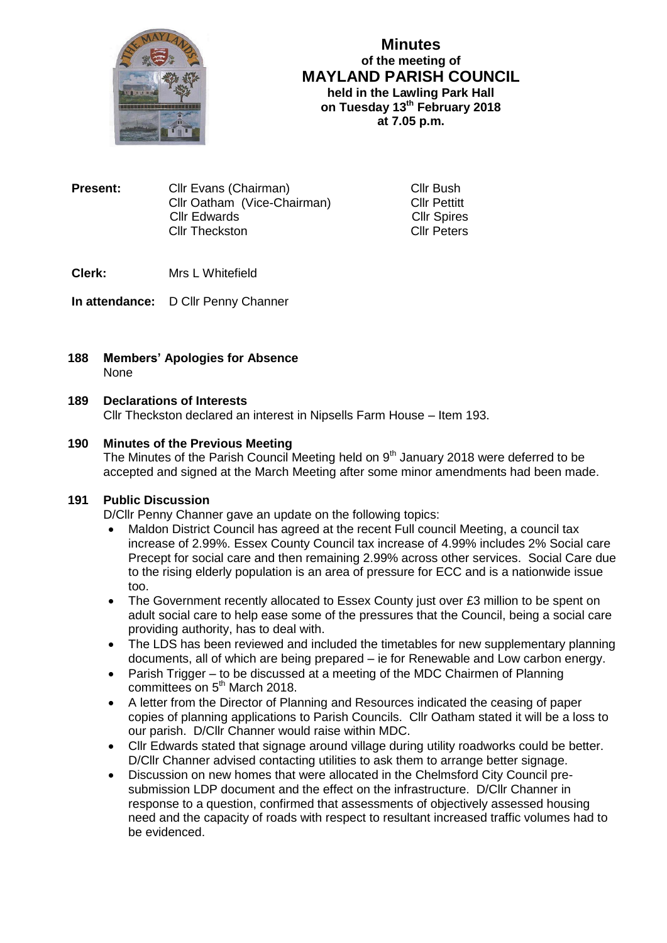

**Minutes of the meeting of MAYLAND PARISH COUNCIL held in the Lawling Park Hall on Tuesday 13th February 2018 at 7.05 p.m.**

**Present:** Cllr Evans (Chairman) Cllr Bush Cllr Oatham (Vice-Chairman) Cllr Pettitt Cllr Edwards<br>
Cllr Theckston<br>
Cllr Peters Cllr Theckston

**Clerk:** Mrs L Whitefield

**In attendance:** D Cllr Penny Channer

**188 Members' Apologies for Absence** None

# **189 Declarations of Interests**

Cllr Theckston declared an interest in Nipsells Farm House – Item 193.

# **190 Minutes of the Previous Meeting**

The Minutes of the Parish Council Meeting held on  $9<sup>th</sup>$  January 2018 were deferred to be accepted and signed at the March Meeting after some minor amendments had been made.

## **191 Public Discussion**

D/Cllr Penny Channer gave an update on the following topics:

- Maldon District Council has agreed at the recent Full council Meeting, a council tax increase of 2.99%. Essex County Council tax increase of 4.99% includes 2% Social care Precept for social care and then remaining 2.99% across other services. Social Care due to the rising elderly population is an area of pressure for ECC and is a nationwide issue too.
- The Government recently allocated to Essex County just over £3 million to be spent on adult social care to help ease some of the pressures that the Council, being a social care providing authority, has to deal with.
- The LDS has been reviewed and included the timetables for new supplementary planning documents, all of which are being prepared – ie for Renewable and Low carbon energy.
- Parish Trigger to be discussed at a meeting of the MDC Chairmen of Planning committees on 5<sup>th</sup> March 2018.
- A letter from the Director of Planning and Resources indicated the ceasing of paper copies of planning applications to Parish Councils. Cllr Oatham stated it will be a loss to our parish. D/Cllr Channer would raise within MDC.
- Cllr Edwards stated that signage around village during utility roadworks could be better. D/Cllr Channer advised contacting utilities to ask them to arrange better signage.
- Discussion on new homes that were allocated in the Chelmsford City Council presubmission LDP document and the effect on the infrastructure. D/Cllr Channer in response to a question, confirmed that assessments of objectively assessed housing need and the capacity of roads with respect to resultant increased traffic volumes had to be evidenced.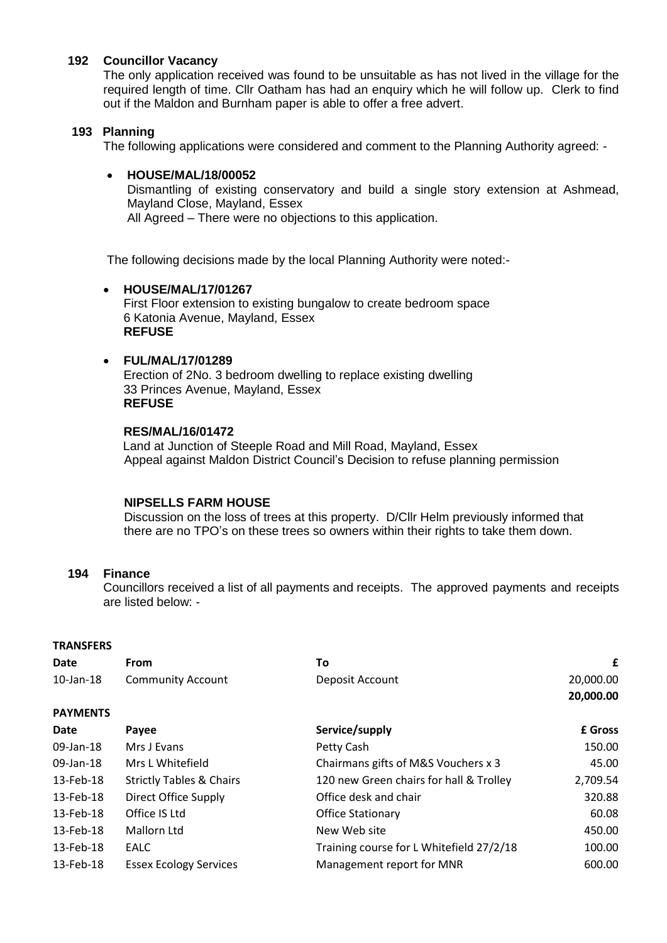### **192 Councillor Vacancy**

The only application received was found to be unsuitable as has not lived in the village for the required length of time. Cllr Oatham has had an enquiry which he will follow up. Clerk to find out if the Maldon and Burnham paper is able to offer a free advert.

### **193 Planning**

The following applications were considered and comment to the Planning Authority agreed: -

### **HOUSE/MAL/18/00052**

Dismantling of existing conservatory and build a single story extension at Ashmead, Mayland Close, Mayland, Essex

All Agreed – There were no objections to this application.

The following decisions made by the local Planning Authority were noted:-

### **HOUSE/MAL/17/01267**

First Floor extension to existing bungalow to create bedroom space 6 Katonia Avenue, Mayland, Essex **REFUSE**

# **FUL/MAL/17/01289**

Erection of 2No. 3 bedroom dwelling to replace existing dwelling 33 Princes Avenue, Mayland, Essex **REFUSE**

### **RES/MAL/16/01472**

 Land at Junction of Steeple Road and Mill Road, Mayland, Essex Appeal against Maldon District Council's Decision to refuse planning permission

#### **NIPSELLS FARM HOUSE**

 Discussion on the loss of trees at this property. D/Cllr Helm previously informed that there are no TPO's on these trees so owners within their rights to take them down.

## **194 Finance**

Councillors received a list of all payments and receipts. The approved payments and receipts are listed below: -

#### **TRANSFERS**

| <b>Date</b>     | <b>From</b>                         | To                                       | £         |
|-----------------|-------------------------------------|------------------------------------------|-----------|
| $10$ -Jan- $18$ | <b>Community Account</b>            | Deposit Account                          | 20,000.00 |
|                 |                                     |                                          | 20,000.00 |
| <b>PAYMENTS</b> |                                     |                                          |           |
| <b>Date</b>     | Payee                               | Service/supply                           | £ Gross   |
| 09-Jan-18       | Mrs J Evans                         | Petty Cash                               | 150.00    |
| 09-Jan-18       | Mrs L Whitefield                    | Chairmans gifts of M&S Vouchers x 3      | 45.00     |
| 13-Feb-18       | <b>Strictly Tables &amp; Chairs</b> | 120 new Green chairs for hall & Trolley  | 2,709.54  |
| 13-Feb-18       | Direct Office Supply                | Office desk and chair                    | 320.88    |
| 13-Feb-18       | Office IS Ltd                       | <b>Office Stationary</b>                 | 60.08     |
| 13-Feb-18       | Mallorn Ltd                         | New Web site                             | 450.00    |
| 13-Feb-18       | <b>EALC</b>                         | Training course for L Whitefield 27/2/18 | 100.00    |
| 13-Feb-18       | <b>Essex Ecology Services</b>       | Management report for MNR                | 600.00    |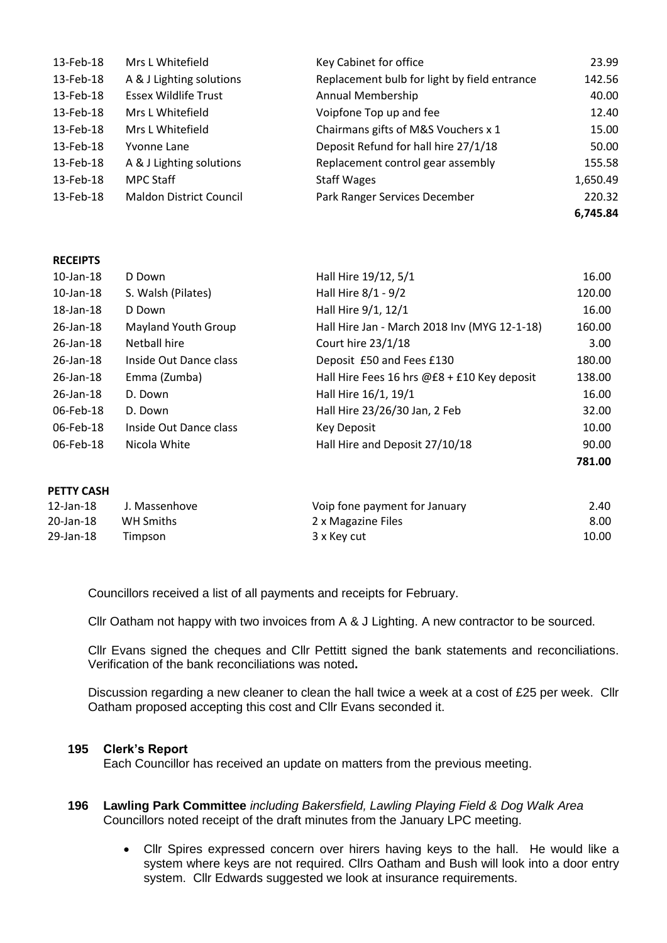| 13-Feb-18 | Mrs L Whitefield               | Key Cabinet for office                       | 23.99    |
|-----------|--------------------------------|----------------------------------------------|----------|
| 13-Feb-18 | A & J Lighting solutions       | Replacement bulb for light by field entrance | 142.56   |
| 13-Feb-18 | <b>Essex Wildlife Trust</b>    | Annual Membership                            | 40.00    |
| 13-Feb-18 | Mrs L Whitefield               | Voipfone Top up and fee                      | 12.40    |
| 13-Feb-18 | Mrs L Whitefield               | Chairmans gifts of M&S Vouchers x 1          | 15.00    |
| 13-Feb-18 | Yvonne Lane                    | Deposit Refund for hall hire 27/1/18         | 50.00    |
| 13-Feb-18 | A & J Lighting solutions       | Replacement control gear assembly            | 155.58   |
| 13-Feb-18 | <b>MPC Staff</b>               | <b>Staff Wages</b>                           | 1,650.49 |
| 13-Feb-18 | <b>Maldon District Council</b> | Park Ranger Services December                | 220.32   |
|           |                                |                                              | 6,745.84 |

#### **RECEIPTS**

| $10$ -Jan- $18$ | D Down                     | Hall Hire 19/12, 5/1                         | 16.00  |
|-----------------|----------------------------|----------------------------------------------|--------|
| $10$ -Jan- $18$ | S. Walsh (Pilates)         | Hall Hire 8/1 - 9/2                          | 120.00 |
| 18-Jan-18       | D Down                     | Hall Hire 9/1, 12/1                          | 16.00  |
| 26-Jan-18       | <b>Mayland Youth Group</b> | Hall Hire Jan - March 2018 Inv (MYG 12-1-18) | 160.00 |
| 26-Jan-18       | Netball hire               | Court hire 23/1/18                           | 3.00   |
| 26-Jan-18       | Inside Out Dance class     | Deposit £50 and Fees £130                    | 180.00 |
| 26-Jan-18       | Emma (Zumba)               | Hall Hire Fees 16 hrs @£8 + £10 Key deposit  | 138.00 |
| 26-Jan-18       | D. Down                    | Hall Hire 16/1, 19/1                         | 16.00  |
| 06-Feb-18       | D. Down                    | Hall Hire 23/26/30 Jan, 2 Feb                | 32.00  |
| 06-Feb-18       | Inside Out Dance class     | Key Deposit                                  | 10.00  |
| 06-Feb-18       | Nicola White               | Hall Hire and Deposit 27/10/18               | 90.00  |
|                 |                            |                                              | 781.00 |

# **PETTY CASH**  12-Jan-18 J. Massenhove Voip fone payment for January 2.40 20-Jan-18 WH Smiths 2 x Magazine Files 8.00 29-Jan-18 Timpson 3 x Key cut 10.00

Councillors received a list of all payments and receipts for February.

Cllr Oatham not happy with two invoices from A & J Lighting. A new contractor to be sourced.

Cllr Evans signed the cheques and Cllr Pettitt signed the bank statements and reconciliations. Verification of the bank reconciliations was noted**.** 

Discussion regarding a new cleaner to clean the hall twice a week at a cost of £25 per week. Cllr Oatham proposed accepting this cost and Cllr Evans seconded it.

#### **195 Clerk's Report**

Each Councillor has received an update on matters from the previous meeting.

- **196 Lawling Park Committee** *including Bakersfield, Lawling Playing Field & Dog Walk Area* Councillors noted receipt of the draft minutes from the January LPC meeting.
	- Cllr Spires expressed concern over hirers having keys to the hall. He would like a system where keys are not required. Cllrs Oatham and Bush will look into a door entry system. Cllr Edwards suggested we look at insurance requirements.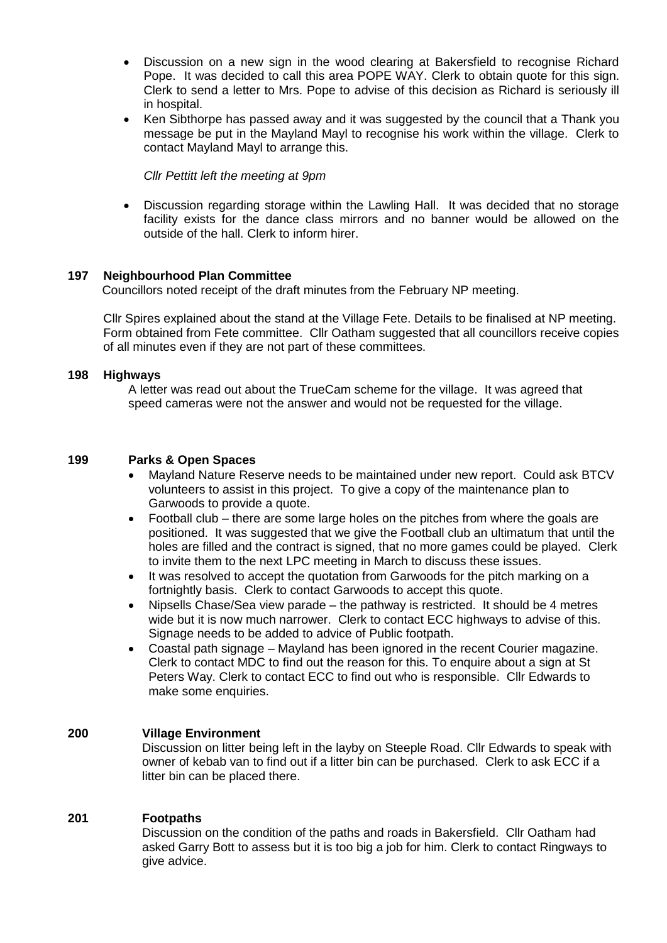- Discussion on a new sign in the wood clearing at Bakersfield to recognise Richard Pope. It was decided to call this area POPE WAY. Clerk to obtain quote for this sign. Clerk to send a letter to Mrs. Pope to advise of this decision as Richard is seriously ill in hospital.
- Ken Sibthorpe has passed away and it was suggested by the council that a Thank you message be put in the Mayland Mayl to recognise his work within the village. Clerk to contact Mayland Mayl to arrange this.

*Cllr Pettitt left the meeting at 9pm*

 Discussion regarding storage within the Lawling Hall. It was decided that no storage facility exists for the dance class mirrors and no banner would be allowed on the outside of the hall. Clerk to inform hirer.

#### **197 Neighbourhood Plan Committee**

Councillors noted receipt of the draft minutes from the February NP meeting.

Cllr Spires explained about the stand at the Village Fete. Details to be finalised at NP meeting. Form obtained from Fete committee. Cllr Oatham suggested that all councillors receive copies of all minutes even if they are not part of these committees.

### **198 Highways**

 A letter was read out about the TrueCam scheme for the village. It was agreed that speed cameras were not the answer and would not be requested for the village.

## **199 Parks & Open Spaces**

- Mayland Nature Reserve needs to be maintained under new report. Could ask BTCV volunteers to assist in this project. To give a copy of the maintenance plan to Garwoods to provide a quote.
- Football club there are some large holes on the pitches from where the goals are positioned. It was suggested that we give the Football club an ultimatum that until the holes are filled and the contract is signed, that no more games could be played. Clerk to invite them to the next LPC meeting in March to discuss these issues.
- It was resolved to accept the quotation from Garwoods for the pitch marking on a fortnightly basis. Clerk to contact Garwoods to accept this quote.
- Nipsells Chase/Sea view parade the pathway is restricted. It should be 4 metres wide but it is now much narrower. Clerk to contact ECC highways to advise of this. Signage needs to be added to advice of Public footpath.
- Coastal path signage Mayland has been ignored in the recent Courier magazine. Clerk to contact MDC to find out the reason for this. To enquire about a sign at St Peters Way. Clerk to contact ECC to find out who is responsible. Cllr Edwards to make some enquiries.

### **200 Village Environment**

Discussion on litter being left in the layby on Steeple Road. Cllr Edwards to speak with owner of kebab van to find out if a litter bin can be purchased. Clerk to ask ECC if a litter bin can be placed there.

#### **201 Footpaths**

Discussion on the condition of the paths and roads in Bakersfield. Cllr Oatham had asked Garry Bott to assess but it is too big a job for him. Clerk to contact Ringways to give advice.